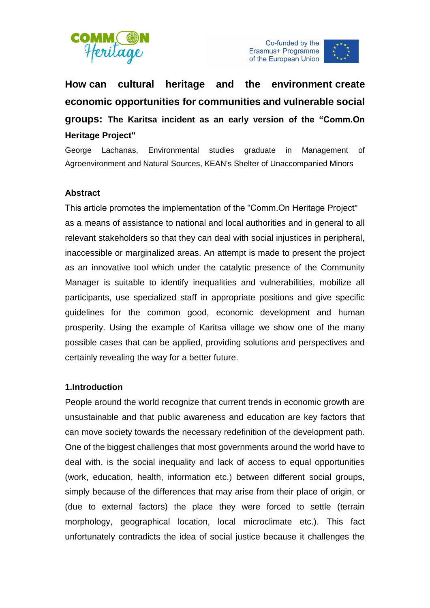





**How can cultural heritage and the environment create economic opportunities for communities and vulnerable social groups: The Karitsa incident as an early version of the "Comm.On Heritage Project"**

George Lachanas, Environmental studies graduate in Management of Agroenvironment and Natural Sources, KEAN's Shelter of Unaccompanied Minors

## **Abstract**

This article promotes the implementation of the "Comm.On Heritage Project" as a means of assistance to national and local authorities and in general to all relevant stakeholders so that they can deal with social injustices in peripheral, inaccessible or marginalized areas. An attempt is made to present the project as an innovative tool which under the catalytic presence of the Community Manager is suitable to identify inequalities and vulnerabilities, mobilize all participants, use specialized staff in appropriate positions and give specific guidelines for the common good, economic development and human prosperity. Using the example of Karitsa village we show one of the many possible cases that can be applied, providing solutions and perspectives and certainly revealing the way for a better future.

#### **1.Introduction**

People around the world recognize that current trends in economic growth are unsustainable and that public awareness and education are key factors that can move society towards the necessary redefinition of the development path. One of the biggest challenges that most governments around the world have to deal with, is the social inequality and lack of access to equal opportunities (work, education, health, information etc.) between different social groups, simply because of the differences that may arise from their place of origin, or (due to external factors) the place they were forced to settle (terrain morphology, geographical location, local microclimate etc.). This fact unfortunately contradicts the idea of social justice because it challenges the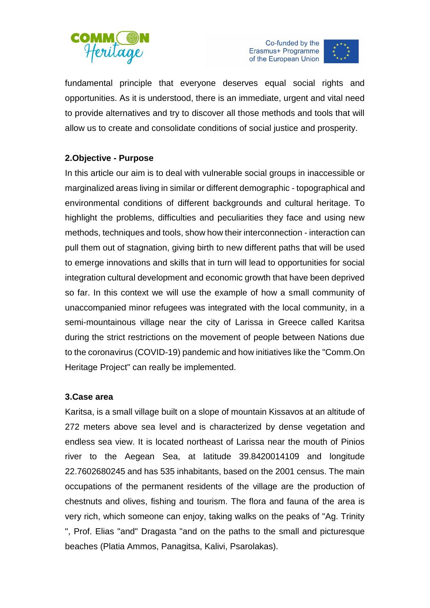





fundamental principle that everyone deserves equal social rights and opportunities. Αs it is understood, there is an immediate, urgent and vital need to provide alternatives and try to discover all those methods and tools that will allow us to create and consolidate conditions of social justice and prosperity.

# **2.Objective - Purpose**

In this article our aim is to deal with vulnerable social groups in inaccessible or marginalized areas living in similar or different demographic - topographical and environmental conditions of different backgrounds and cultural heritage. To highlight the problems, difficulties and peculiarities they face and using new methods, techniques and tools, show how their interconnection - interaction can pull them out of stagnation, giving birth to new different paths that will be used to emerge innovations and skills that in turn will lead to opportunities for social integration cultural development and economic growth that have been deprived so far. In this context we will use the example of how a small community of unaccompanied minor refugees was integrated with the local community, in a semi-mountainous village near the city of Larissa in Greece called Karitsa during the strict restrictions on the movement of people between Nations due to the coronavirus (COVID-19) pandemic and how initiatives like the "Comm.On Heritage Project" can really be implemented.

## **3.Case area**

Karitsa, is a small village built on a slope of mountain Kissavos at an altitude of 272 meters above sea level and is characterized by dense vegetation and endless sea view. It is located northeast of Larissa near the mouth of Pinios river to the Aegean Sea, at latitude 39.8420014109 and longitude 22.7602680245 and has 535 inhabitants, based on the 2001 census. The main occupations of the permanent residents of the village are the production of chestnuts and olives, fishing and tourism. The flora and fauna of the area is very rich, which someone can enjoy, taking walks on the peaks of "Ag. Trinity ", Prof. Elias "and" Dragasta "and on the paths to the small and picturesque beaches (Platia Ammos, Panagitsa, Kalivi, Psarolakas).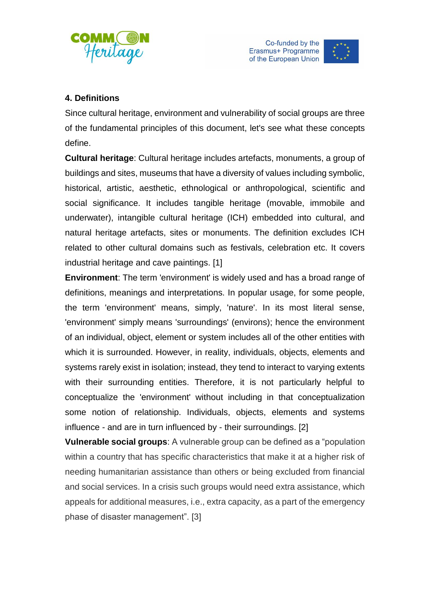



# **4. Definitions**

Since cultural heritage, environment and vulnerability of social groups are three of the fundamental principles of this document, let's see what these concepts define.

**Cultural heritage**: Cultural heritage includes artefacts, monuments, a group of buildings and sites, museums that have a diversity of values including symbolic, historical, artistic, aesthetic, ethnological or anthropological, scientific and social significance. It includes tangible heritage (movable, immobile and underwater), intangible cultural heritage (ICH) embedded into cultural, and natural heritage artefacts, sites or monuments. The definition excludes ICH related to other cultural domains such as festivals, celebration etc. It covers industrial heritage and cave paintings. [1]

**Environment**: The term 'environment' is widely used and has a broad range of definitions, meanings and interpretations. In popular usage, for some people, the term 'environment' means, simply, 'nature'. In its most literal sense, 'environment' simply means 'surroundings' (environs); hence the environment of an individual, object, element or system includes all of the other entities with which it is surrounded. However, in reality, individuals, objects, elements and systems rarely exist in isolation; instead, they tend to interact to varying extents with their surrounding entities. Therefore, it is not particularly helpful to conceptualize the 'environment' without including in that conceptualization some notion of relationship. Individuals, objects, elements and systems influence - and are in turn influenced by - their surroundings. [2]

**Vulnerable social groups**: A vulnerable group can be defined as a "population within a country that has specific characteristics that make it at a higher risk of needing humanitarian assistance than others or being excluded from financial and social services. In a crisis such groups would need extra assistance, which appeals for additional measures, i.e., extra capacity, as a part of the emergency phase of disaster management". [3]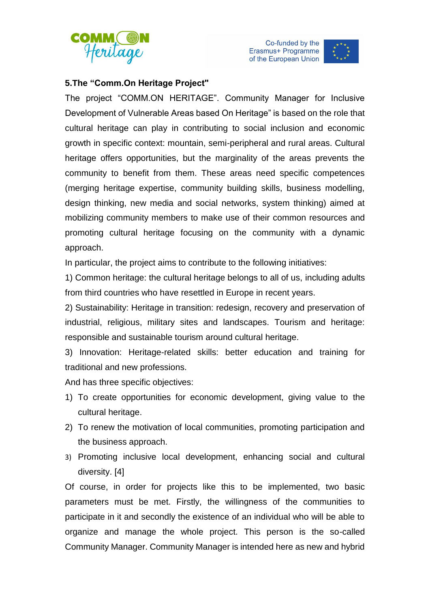



## **5.The "Comm.On Heritage Project"**

The project "COMM.ON HERITAGE". Community Manager for Inclusive Development of Vulnerable Areas based On Heritage" is based on the role that cultural heritage can play in contributing to social inclusion and economic growth in specific context: mountain, semi-peripheral and rural areas. Cultural heritage offers opportunities, but the marginality of the areas prevents the community to benefit from them. These areas need specific competences (merging heritage expertise, community building skills, business modelling, design thinking, new media and social networks, system thinking) aimed at mobilizing community members to make use of their common resources and promoting cultural heritage focusing on the community with a dynamic approach.

In particular, the project aims to contribute to the following initiatives:

1) Common heritage: the cultural heritage belongs to all of us, including adults from third countries who have resettled in Europe in recent years.

2) Sustainability: Heritage in transition: redesign, recovery and preservation of industrial, religious, military sites and landscapes. Tourism and heritage: responsible and sustainable tourism around cultural heritage.

3) Innovation: Heritage-related skills: better education and training for traditional and new professions.

And has three specific objectives:

- 1) To create opportunities for economic development, giving value to the cultural heritage.
- 2) To renew the motivation of local communities, promoting participation and the business approach.
- 3) Promoting inclusive local development, enhancing social and cultural diversity. [4]

Of course, in order for projects like this to be implemented, two basic parameters must be met. Firstly, the willingness of the communities to participate in it and secondly the existence of an individual who will be able to organize and manage the whole project. This person is the so-called Community Manager. Community Manager is intended here as new and hybrid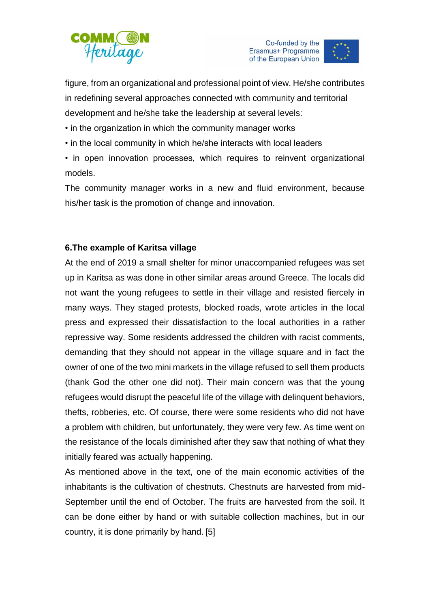



figure, from an organizational and professional point of view. He/she contributes in redefining several approaches connected with community and territorial development and he/she take the leadership at several levels:

• in the organization in which the community manager works

• in the local community in which he/she interacts with local leaders

• in open innovation processes, which requires to reinvent organizational models.

The community manager works in a new and fluid environment, because his/her task is the promotion of change and innovation.

### **6.The example of Karitsa village**

At the end of 2019 a small shelter for minor unaccompanied refugees was set up in Karitsa as was done in other similar areas around Greece. The locals did not want the young refugees to settle in their village and resisted fiercely in many ways. They staged protests, blocked roads, wrote articles in the local press and expressed their dissatisfaction to the local authorities in a rather repressive way. Some residents addressed the children with racist comments, demanding that they should not appear in the village square and in fact the owner of one of the two mini markets in the village refused to sell them products (thank God the other one did not). Their main concern was that the young refugees would disrupt the peaceful life of the village with delinquent behaviors, thefts, robberies, etc. Of course, there were some residents who did not have a problem with children, but unfortunately, they were very few. As time went on the resistance of the locals diminished after they saw that nothing of what they initially feared was actually happening.

As mentioned above in the text, one of the main economic activities of the inhabitants is the cultivation of chestnuts. Chestnuts are harvested from mid-September until the end of October. The fruits are harvested from the soil. It can be done either by hand or with suitable collection machines, but in our country, it is done primarily by hand. [5]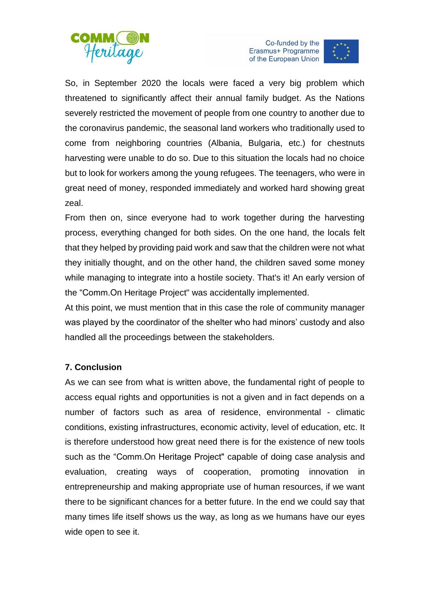





So, in September 2020 the locals were faced a very big problem which threatened to significantly affect their annual family budget. As the Nations severely restricted the movement of people from one country to another due to the coronavirus pandemic, the seasonal land workers who traditionally used to come from neighboring countries (Albania, Bulgaria, etc.) for chestnuts harvesting were unable to do so. Due to this situation the locals had no choice but to look for workers among the young refugees. The teenagers, who were in great need of money, responded immediately and worked hard showing great zeal.

From then on, since everyone had to work together during the harvesting process, everything changed for both sides. On the one hand, the locals felt that they helped by providing paid work and saw that the children were not what they initially thought, and on the other hand, the children saved some money while managing to integrate into a hostile society. That's it! An early version of the "Comm.On Heritage Project" was accidentally implemented.

At this point, we must mention that in this case the role of community manager was played by the coordinator of the shelter who had minors' custody and also handled all the proceedings between the stakeholders.

# **7. Conclusion**

As we can see from what is written above, the fundamental right of people to access equal rights and opportunities is not a given and in fact depends on a number of factors such as area of residence, environmental - climatic conditions, existing infrastructures, economic activity, level of education, etc. It is therefore understood how great need there is for the existence of new tools such as the "Comm.On Heritage Project" capable of doing case analysis and evaluation, creating ways of cooperation, promoting innovation in entrepreneurship and making appropriate use of human resources, if we want there to be significant chances for a better future. In the end we could say that many times life itself shows us the way, as long as we humans have our eyes wide open to see it.